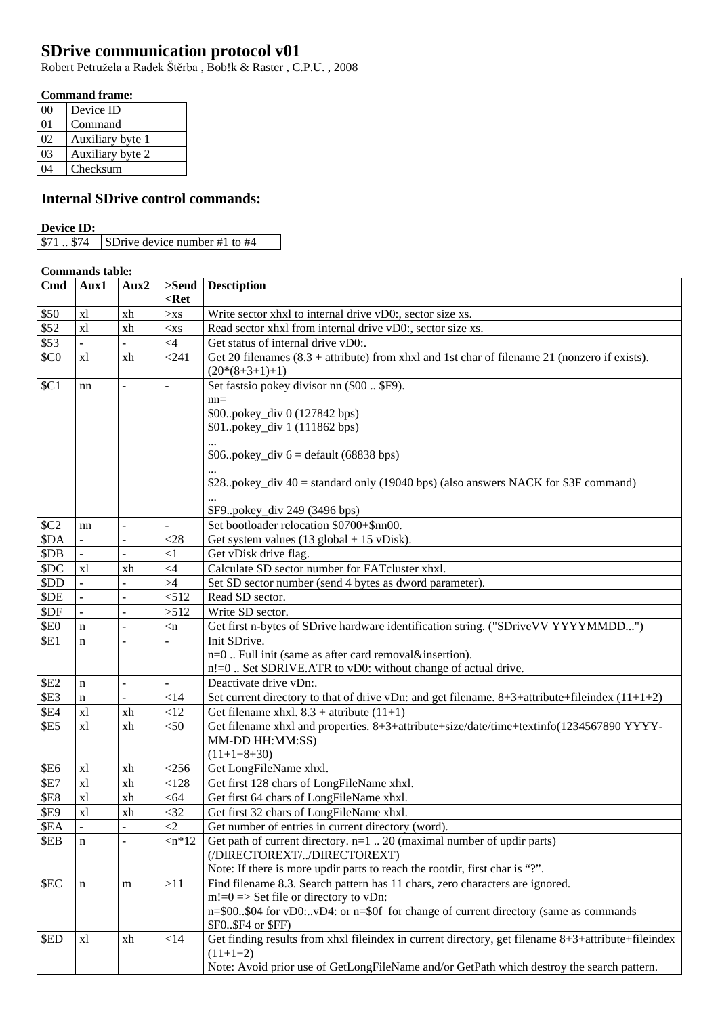# **SDrive communication protocol v01**

Robert Petružela a Radek Štěrba , Bob!k & Raster , C.P.U. , 2008

## **Command frame:**

| ററ      | Device ID        |
|---------|------------------|
| $_{01}$ | Command          |
| 02      | Auxiliary byte 1 |
| 03      | Auxiliary byte 2 |
|         | Checksum         |

## **Internal SDrive control commands:**

#### **Device ID:**

### **Commands table:**

| Cmd                        | Aux1        | Aux2           |                                       | $>\mathbf{Send}$ Desctiption                                                                       |
|----------------------------|-------------|----------------|---------------------------------------|----------------------------------------------------------------------------------------------------|
|                            |             |                | $<$ Ret                               |                                                                                                    |
| \$50                       | xl          | xh             | $>$ xs                                | Write sector xhxl to internal drive vD0:, sector size xs.                                          |
| \$52                       | x1          | xh             | $<$ xs                                | Read sector xhxl from internal drive vD0:, sector size xs.                                         |
| \$53                       |             |                | $\leq 4$                              | Get status of internal drive vD0:.                                                                 |
| \$CO                       | x1          | xh             | < 241                                 | Get 20 filenames $(8.3 +$ attribute) from xhxl and 1st char of filename 21 (nonzero if exists).    |
|                            |             |                |                                       | $(20*(8+3+1)+1)$                                                                                   |
| \$C1                       | nn          |                | $\blacksquare$                        | Set fastsio pokey divisor nn (\$00  \$F9).                                                         |
|                            |             |                |                                       | $nn =$                                                                                             |
|                            |             |                |                                       | \$00.pokey_div 0 (127842 bps)                                                                      |
|                            |             |                |                                       | \$01.pokey_div 1 (111862 bps)                                                                      |
|                            |             |                |                                       |                                                                                                    |
|                            |             |                |                                       | $$06. pokey\_div 6 = default (68838 bps)$                                                          |
|                            |             |                |                                       |                                                                                                    |
|                            |             |                |                                       | $$28.$ pokey_div 40 = standard only (19040 bps) (also answers NACK for \$3F command)               |
|                            |             |                |                                       |                                                                                                    |
|                            |             |                |                                       | \$F9.pokey_div 249 (3496 bps)<br>Set bootloader relocation \$0700+\$nn00.                          |
| \$C2                       | nn          | $\sim$         | $\overline{a}$                        |                                                                                                    |
| \$DA<br>\$DB               |             | $\overline{a}$ | $<$ 28                                | Get system values $(13$ global + 15 vDisk).                                                        |
|                            |             |                | $\leq$ 1<br>$<4$                      | Get vDisk drive flag.<br>Calculate SD sector number for FATcluster xhxl.                           |
| \$DC                       | xl          | xh             |                                       |                                                                                                    |
| \$DD                       |             |                | >4                                    | Set SD sector number (send 4 bytes as dword parameter).                                            |
| \$DE                       |             | $\overline{a}$ | < 512                                 | Read SD sector.<br>Write SD sector.                                                                |
| \$DF                       |             | $\overline{a}$ | >512                                  | Get first n-bytes of SDrive hardware identification string. ("SDriveVV YYYYMMDD")                  |
| <b>\$E0</b><br><b>\$E1</b> | $\mathbf n$ | $\overline{a}$ | $\langle n \rangle$<br>$\overline{a}$ | Init SDrive.                                                                                       |
|                            | $\mathbf n$ |                |                                       | n=0  Full init (same as after card removal&insertion).                                             |
|                            |             |                |                                       | n!=0  Set SDRIVE.ATR to vD0: without change of actual drive.                                       |
| <b>\$E2</b>                | $\mathbf n$ | $\equiv$       | $\overline{a}$                        | Deactivate drive vDn:.                                                                             |
| \$E3                       | $\mathbf n$ | $\sim$         | $<$ 14                                | Set current directory to that of drive vDn: and get filename. $8+3+attribute+fileindex (11+1+2)$   |
| <b>\$E4</b>                | xl          | xh             | <12                                   | Get filename xhxl. $8.3 +$ attribute $(11+1)$                                                      |
| <b>\$E5</b>                | x1          | xh             | $<$ 50                                | Get filename xhxl and properties. 8+3+attribute+size/date/time+textinfo(1234567890 YYYY-           |
|                            |             |                |                                       | MM-DD HH:MM:SS)                                                                                    |
|                            |             |                |                                       | $(11+1+8+30)$                                                                                      |
| <b>\$E6</b>                | x1          | xh             | $<$ 256 $\,$                          | Get LongFileName xhxl.                                                                             |
| <b>\$E7</b>                | x1          | xh             | < 128                                 | Get first 128 chars of LongFileName xhxl.                                                          |
| <b>\$E8</b>                | x1          | xh             | < 64                                  | Get first 64 chars of LongFileName xhxl.                                                           |
| <b>\$E9</b>                | x1          | xh             | $<$ 32                                | Get first 32 chars of LongFileName xhxl.                                                           |
| \$EA                       |             |                | $\leq$ 2                              | Get number of entries in current directory (word).                                                 |
| \$EB                       | $\mathbf n$ |                | $\langle n^*12$                       | Get path of current directory. $n=1$ 20 (maximal number of updir parts)                            |
|                            |             |                |                                       | (/DIRECTOREXT//DIRECTOREXT)                                                                        |
|                            |             |                |                                       | Note: If there is more updir parts to reach the rootdir, first char is "?".                        |
| \$EC                       | $\mathbf n$ | m              | >11                                   | Find filename 8.3. Search pattern has 11 chars, zero characters are ignored.                       |
|                            |             |                |                                       | $m!=0 \Rightarrow$ Set file or directory to vDn:                                                   |
|                            |             |                |                                       | n=\$00\$04 for vD0:vD4: or n=\$0f for change of current directory (same as commands                |
|                            |             |                |                                       | \$F0\$F4 or \$FF)                                                                                  |
| \$ED                       | xl          | xh             | <14                                   | Get finding results from xhxl fileindex in current directory, get filename 8+3+attribute+fileindex |
|                            |             |                |                                       | $(11+1+2)$                                                                                         |
|                            |             |                |                                       | Note: Avoid prior use of GetLongFileName and/or GetPath which destroy the search pattern.          |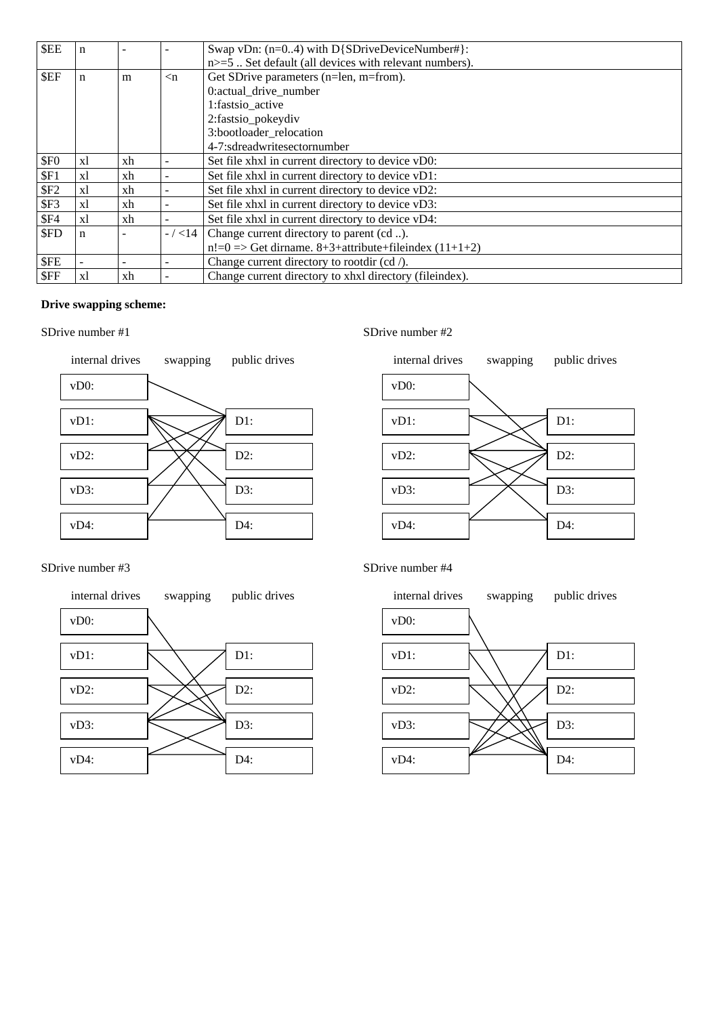| <b>SEE</b>       | n           |    |                     | Swap vDn: $(n=0.4)$ with D{SDriveDeviceNumber#}:                 |
|------------------|-------------|----|---------------------|------------------------------------------------------------------|
|                  |             |    |                     | $n>=5$ . Set default (all devices with relevant numbers).        |
| \$EF             | n           | m  | $\langle n \rangle$ | Get SDrive parameters (n=len, m=from).                           |
|                  |             |    |                     | 0:actual drive number                                            |
|                  |             |    |                     | 1:fastsio active                                                 |
|                  |             |    |                     | 2:fastsio_pokeydiv                                               |
|                  |             |    |                     | 3:bootloader_relocation                                          |
|                  |             |    |                     | 4-7:sdreadwritesectornumber                                      |
| \$F <sub>0</sub> | xl          | xh |                     | Set file xhxl in current directory to device vD0:                |
| \$F1             | xl          | xh |                     | Set file xhxl in current directory to device vD1:                |
| \$F2             | xl          | xh |                     | Set file xhxl in current directory to device vD2:                |
| \$F3             | xl          | xh |                     | Set file xhxl in current directory to device vD3:                |
| \$F4             | x1          | xh |                     | Set file xhxl in current directory to device vD4:                |
| \$FD             | $\mathbf n$ |    | $- / < 14$          | Change current directory to parent (cd ).                        |
|                  |             |    |                     | $n!=0 \Rightarrow$ Get dirname. 8+3+attribute+fileindex (11+1+2) |
| \$FE             |             |    |                     | Change current directory to rootdir $(cd /)$ .                   |
| \$FF             | xl          | xh |                     | Change current directory to xhxl directory (fileindex).          |

## **Drive swapping scheme:**

#### SDrive number #1







#### SDrive number #3



#### SDrive number #4

SDrive number #2